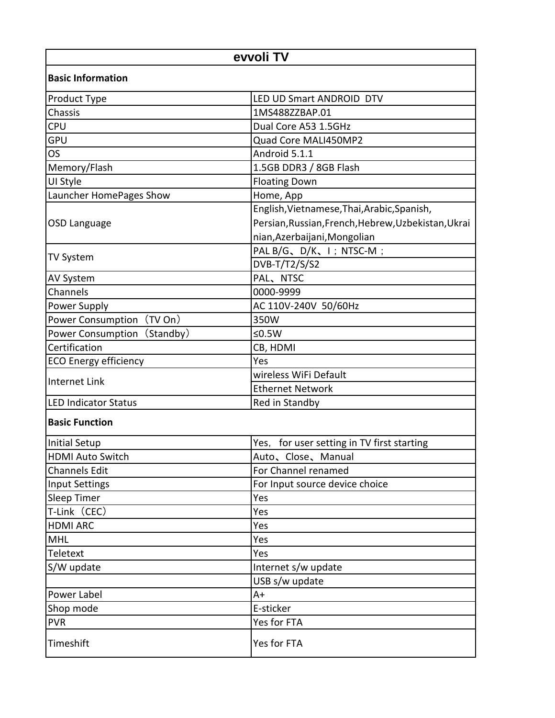| evvoli TV                    |                                                     |  |
|------------------------------|-----------------------------------------------------|--|
| <b>Basic Information</b>     |                                                     |  |
| <b>Product Type</b>          | LED UD Smart ANDROID DTV                            |  |
| Chassis                      | 1MS488ZZBAP.01                                      |  |
| <b>CPU</b>                   | Dual Core A53 1.5GHz                                |  |
| <b>GPU</b>                   | Quad Core MALI450MP2                                |  |
| <b>OS</b>                    | Android 5.1.1                                       |  |
| Memory/Flash                 | 1.5GB DDR3 / 8GB Flash                              |  |
| UI Style                     | <b>Floating Down</b>                                |  |
| Launcher HomePages Show      | Home, App                                           |  |
|                              | English, Vietnamese, Thai, Arabic, Spanish,         |  |
| OSD Language                 | Persian, Russian, French, Hebrew, Uzbekistan, Ukrai |  |
|                              | nian, Azerbaijani, Mongolian                        |  |
|                              | PAL B/G、D/K、I; NTSC-M;                              |  |
| <b>TV System</b>             | DVB-T/T2/S/S2                                       |  |
| <b>AV System</b>             | PAL、NTSC                                            |  |
| Channels                     | 0000-9999                                           |  |
| <b>Power Supply</b>          | AC 110V-240V 50/60Hz                                |  |
| Power Consumption (TV On)    | 350W                                                |  |
| Power Consumption (Standby)  | ≤ $0.5W$                                            |  |
| Certification                | CB, HDMI                                            |  |
| <b>ECO Energy efficiency</b> | Yes                                                 |  |
| Internet Link                | wireless WiFi Default                               |  |
|                              | <b>Ethernet Network</b>                             |  |
| <b>LED Indicator Status</b>  | Red in Standby                                      |  |
| <b>Basic Function</b>        |                                                     |  |
| Initial Setup                | Yes, for user setting in TV first starting          |  |
| <b>HDMI Auto Switch</b>      | Auto, Close, Manual                                 |  |
| <b>Channels Edit</b>         | For Channel renamed                                 |  |
| Input Settings               | For Input source device choice                      |  |
| <b>Sleep Timer</b>           | Yes                                                 |  |
| T-Link (CEC)                 | Yes                                                 |  |
| <b>HDMI ARC</b>              | Yes                                                 |  |
| <b>MHL</b>                   | Yes                                                 |  |
| Teletext                     | Yes                                                 |  |
| S/W update                   | Internet s/w update                                 |  |
|                              | USB s/w update                                      |  |
| Power Label                  | $A+$                                                |  |
| Shop mode                    | E-sticker                                           |  |
| <b>PVR</b>                   | Yes for FTA                                         |  |
| Timeshift                    | Yes for FTA                                         |  |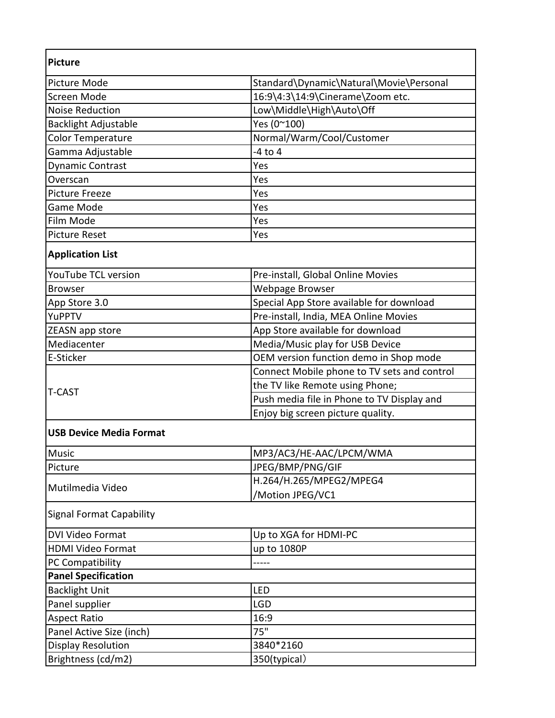| Picture Mode                    | Standard\Dynamic\Natural\Movie\Personal     |
|---------------------------------|---------------------------------------------|
| Screen Mode                     | 16:9\4:3\14:9\Cinerame\Zoom etc.            |
| <b>Noise Reduction</b>          | Low\Middle\High\Auto\Off                    |
| <b>Backlight Adjustable</b>     | Yes (0~100)                                 |
| Color Temperature               | Normal/Warm/Cool/Customer                   |
| Gamma Adjustable                | $-4$ to $4$                                 |
| Dynamic Contrast                | Yes                                         |
| Overscan                        | Yes                                         |
| <b>Picture Freeze</b>           | Yes                                         |
| Game Mode                       | Yes                                         |
| Film Mode                       | Yes                                         |
| <b>Picture Reset</b>            | Yes                                         |
| <b>Application List</b>         |                                             |
| <b>YouTube TCL version</b>      | Pre-install, Global Online Movies           |
| <b>Browser</b>                  | Webpage Browser                             |
| App Store 3.0                   | Special App Store available for download    |
| YuPPTV                          | Pre-install, India, MEA Online Movies       |
| ZEASN app store                 | App Store available for download            |
| Mediacenter                     | Media/Music play for USB Device             |
| E-Sticker                       | OEM version function demo in Shop mode      |
| <b>T-CAST</b>                   | Connect Mobile phone to TV sets and control |
|                                 | the TV like Remote using Phone;             |
|                                 | Push media file in Phone to TV Display and  |
|                                 | Enjoy big screen picture quality.           |
| <b>USB Device Media Format</b>  |                                             |
| <b>Music</b>                    | MP3/AC3/HE-AAC/LPCM/WMA                     |
| Picture                         | JPEG/BMP/PNG/GIF                            |
| Mutilmedia Video                | H.264/H.265/MPEG2/MPEG4                     |
|                                 | /Motion JPEG/VC1                            |
| <b>Signal Format Capability</b> |                                             |
| <b>DVI Video Format</b>         | Up to XGA for HDMI-PC                       |
| <b>HDMI Video Format</b>        | up to 1080P                                 |
| PC Compatibility                |                                             |
| <b>Panel Specification</b>      |                                             |
| <b>Backlight Unit</b>           | LED                                         |
| Panel supplier                  | <b>LGD</b>                                  |
| <b>Aspect Ratio</b>             | 16:9                                        |
| Panel Active Size (inch)        | 75"                                         |
| Display Resolution              | 3840*2160                                   |
|                                 | 350(typical)                                |